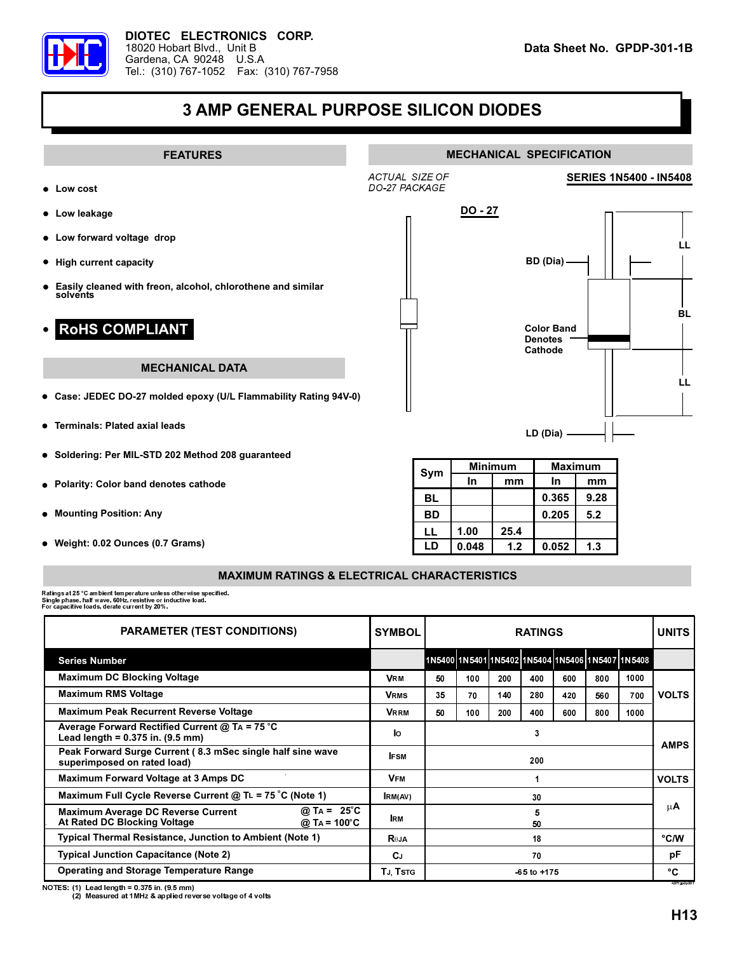

## **3 AMP GENERAL PURPOSE SILICON DIODES**



## **MAXIMUM RATINGS & ELECTRICAL CHARACTERISTICS**

Ratings at 25 °C ambient temperature unless otherwise specified.<br>Single phase, half wave, 60Hz, resistive or inductive load.<br>For capacitive loads, derate current by 20%.

| <b>PARAMETER (TEST CONDITIONS)</b>                                                                                              | <b>SYMBOL</b> | <b>RATINGS</b>  |     |     |     |     |     |                                                  | <b>UNITS</b>       |
|---------------------------------------------------------------------------------------------------------------------------------|---------------|-----------------|-----|-----|-----|-----|-----|--------------------------------------------------|--------------------|
| <b>Series Number</b>                                                                                                            |               |                 |     |     |     |     |     | 1N5400 1N5401 1N5402 1N5404 1N5406 1N5407 1N5408 |                    |
| <b>Maximum DC Blocking Voltage</b>                                                                                              | <b>VRM</b>    | 50              | 100 | 200 | 400 | 600 | 800 | 1000                                             | <b>VOLTS</b>       |
| Maximum RMS Voltage                                                                                                             | <b>VRMS</b>   | 35              | 70  | 140 | 280 | 420 | 560 | 700                                              |                    |
| <b>Maximum Peak Recurrent Reverse Voltage</b>                                                                                   | <b>VRRM</b>   | 50              | 100 | 200 | 400 | 600 | 800 | 1000                                             |                    |
| Average Forward Rectified Current @ TA = 75 °C<br>Lead length = $0.375$ in. $(9.5$ mm)                                          | lо            | 3               |     |     |     |     |     |                                                  | <b>AMPS</b>        |
| Peak Forward Surge Current (8.3 mSec single half sine wave<br>superimposed on rated load)                                       | <b>IFSM</b>   | 200             |     |     |     |     |     |                                                  |                    |
| Maximum Forward Voltage at 3 Amps DC                                                                                            | <b>VFM</b>    |                 |     |     |     |     |     |                                                  | <b>VOLTS</b>       |
| Maximum Full Cycle Reverse Current @ TL = 75 °C (Note 1)                                                                        | RM(AV)        | 30              |     |     |     |     |     |                                                  | μA                 |
| @ T <sub>A</sub> = 25 °C<br><b>Maximum Average DC Reverse Current</b><br>At Rated DC Blocking Voltage<br>@ TA = $100^{\circ}$ C | <b>IRM</b>    | 5<br>50         |     |     |     |     |     |                                                  |                    |
| <b>Typical Thermal Resistance, Junction to Ambient (Note 1)</b>                                                                 | <b>Reja</b>   | 18              |     |     |     |     |     |                                                  | °C/W               |
| <b>Typical Junction Capacitance (Note 2)</b>                                                                                    | CJ.           | 70              |     |     |     |     |     |                                                  | рF                 |
| <b>Operating and Storage Temperature Range</b>                                                                                  | TJ, Tstg      | $-65$ to $+175$ |     |     |     |     |     |                                                  | °C<br>4.97fgpdp301 |

NOTES: (1) Lead length = 0.375 in. (9.5 mm)<br>(2) Measured at 1MHz & applied reverse voltage of 4 volts